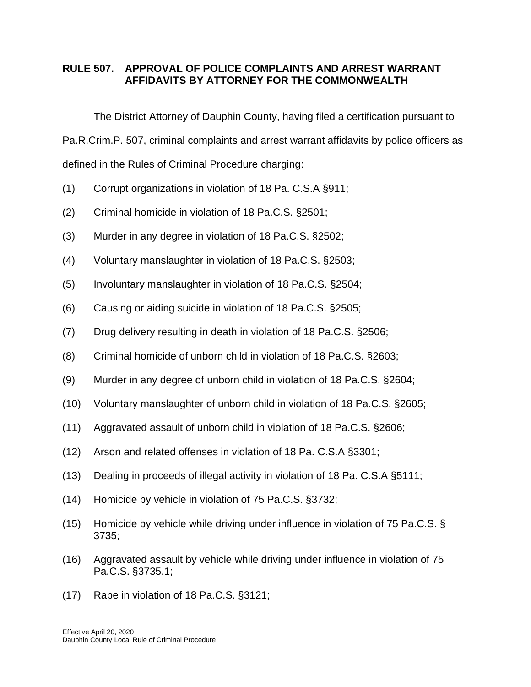## **RULE 507. APPROVAL OF POLICE COMPLAINTS AND ARREST WARRANT AFFIDAVITS BY ATTORNEY FOR THE COMMONWEALTH**

The District Attorney of Dauphin County, having filed a certification pursuant to Pa.R.Crim.P. 507, criminal complaints and arrest warrant affidavits by police officers as defined in the Rules of Criminal Procedure charging:

- (1) Corrupt organizations in violation of 18 Pa. C.S.A §911;
- (2) Criminal homicide in violation of 18 Pa.C.S. §2501;
- (3) Murder in any degree in violation of 18 Pa.C.S. §2502;
- (4) Voluntary manslaughter in violation of 18 Pa.C.S. §2503;
- (5) Involuntary manslaughter in violation of 18 Pa.C.S. §2504;
- (6) Causing or aiding suicide in violation of 18 Pa.C.S. §2505;
- (7) Drug delivery resulting in death in violation of 18 Pa.C.S. §2506;
- (8) Criminal homicide of unborn child in violation of 18 Pa.C.S. §2603;
- (9) Murder in any degree of unborn child in violation of 18 Pa.C.S. §2604;
- (10) Voluntary manslaughter of unborn child in violation of 18 Pa.C.S. §2605;
- (11) Aggravated assault of unborn child in violation of 18 Pa.C.S. §2606;
- (12) Arson and related offenses in violation of 18 Pa. C.S.A §3301;
- (13) Dealing in proceeds of illegal activity in violation of 18 Pa. C.S.A §5111;
- (14) Homicide by vehicle in violation of 75 Pa.C.S. §3732;
- (15) Homicide by vehicle while driving under influence in violation of 75 Pa.C.S. § 3735;
- (16) Aggravated assault by vehicle while driving under influence in violation of 75 Pa.C.S. §3735.1;
- (17) Rape in violation of 18 Pa.C.S. §3121;